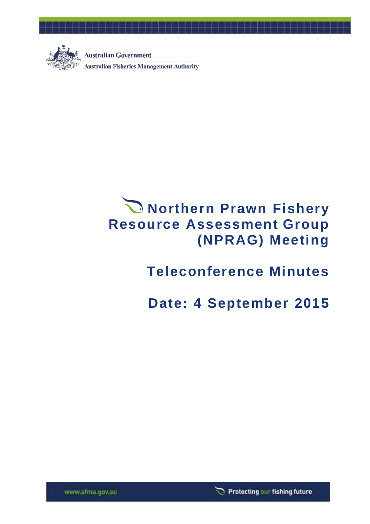

 $\Box$ 

**Australian Government Australian Fisheries Management Authority** 

# **Northern Prawn Fishery Resource Assessment Group (NPRAG) Meeting**

## **Teleconference Minutes**

## **Date: 4 September 2015**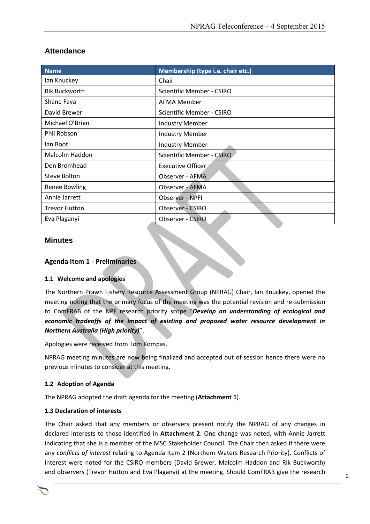| <b>Attendance</b> |  |
|-------------------|--|
|-------------------|--|

| <b>Name</b>          | Membership (type i.e. chair etc.) |
|----------------------|-----------------------------------|
| lan Knuckey          | Chair                             |
| <b>Rik Buckworth</b> | <b>Scientific Member - CSIRO</b>  |
| Shane Fava           | AFMA Member                       |
| David Brewer         | Scientific Member - CSIRO         |
| Michael O'Brien      | <b>Industry Member</b>            |
| Phil Robson          | <b>Industry Member</b>            |
| lan Boot             | <b>Industry Member</b>            |
| Malcolm Haddon       | <b>Scientific Member - CSIRO</b>  |
| Don Bromhead         | Executive Officer                 |
| Steve Bolton         | Observer - AFMA                   |
| Renee Bowling        | Observer - AFMA                   |
| Annie Jarrett        | Observer - NPFI                   |
| <b>Trevor Hutton</b> | Observer - CSIRO                  |
| Eva Plaganyi         | Observer - CSIRO                  |

## **Minutes**

#### **Agenda Item 1 - Preliminaries**

#### **1.1 Welcome and apologies**

The Northern Prawn Fishery Resource Assessment Group (NPRAG) Chair, Ian Knuckey, opened the meeting noting that the primary focus of the meeting was the potential revision and re-submission to ComFRAB of the NPF research priority scope "*Develop an understanding of ecological and economic tradeoffs of the impact of existing and proposed water resource development in Northern Australia (High priority)*".

Apologies were received from Tom Kompas.

NPRAG meeting minutes are now being finalized and accepted out of session hence there were no previous minutes to consider at this meeting.

## **1.2 Adoption of Agenda**

The NPRAG adopted the draft agenda for the meeting (**Attachment 1**).

#### **1.3 Declaration of interests**

The Chair asked that any members or observers present notify the NPRAG of any changes in declared interests to those identified in **Attachment 2**. One change was noted, with Annie Jarrett indicating that she is a member of the MSC Stakeholder Council. The Chair then asked if there were any *conflicts of interest* relating to Agenda Item 2 (Northern Waters Research Priority). Conflicts of interest were noted for the CSIRO members (David Brewer, Malcolm Haddon and Rik Buckworth) and observers (Trevor Hutton and Eva Plaganyi) at the meeting. Should ComFRAB give the research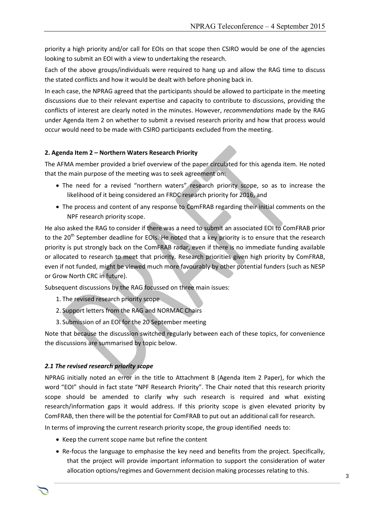priority a high priority and/or call for EOIs on that scope then CSIRO would be one of the agencies looking to submit an EOI with a view to undertaking the research.

Each of the above groups/individuals were required to hang up and allow the RAG time to discuss the stated conflicts and how it would be dealt with before phoning back in.

In each case, the NPRAG agreed that the participants should be allowed to participate in the meeting discussions due to their relevant expertise and capacity to contribute to discussions, providing the conflicts of interest are clearly noted in the minutes. However, *recommendations* made by the RAG under Agenda Item 2 on whether to submit a revised research priority and how that process would occur would need to be made with CSIRO participants excluded from the meeting.

## **2. Agenda Item 2 – Northern Waters Research Priority**

The AFMA member provided a brief overview of the paper circulated for this agenda item. He noted that the main purpose of the meeting was to seek agreement on:

- The need for a revised "northern waters" research priority scope, so as to increase the likelihood of it being considered an FRDC research priority for 2016, and
- The process and content of any response to ComFRAB regarding their initial comments on the NPF research priority scope.

He also asked the RAG to consider if there was a need to submit an associated EOI to ComFRAB prior to the 20<sup>th</sup> September deadline for EOIs. He noted that a key priority is to ensure that the research priority is put strongly back on the ComFRAB radar, even if there is no immediate funding available or allocated to research to meet that priority. Research priorities given high priority by ComFRAB, even if not funded, might be viewed much more favourably by other potential funders (such as NESP or Grow North CRC in future).

Subsequent discussions by the RAG focussed on three main issues:

- 1. The revised research priority scope
- 2. Support letters from the RAG and NORMAC Chairs
- 3. Submission of an EOI for the 20 September meeting

Note that because the discussion switched regularly between each of these topics, for convenience the discussions are summarised by topic below.

#### *2.1 The revised research priority scope*

NPRAG initially noted an error in the title to Attachment B (Agenda Item 2 Paper), for which the word "EOI" should in fact state "NPF Research Priority". The Chair noted that this research priority scope should be amended to clarify why such research is required and what existing research/information gaps it would address. If this priority scope is given elevated priority by ComFRAB, then there will be the potential for ComFRAB to put out an additional call for research.

In terms of improving the current research priority scope, the group identified needs to:

- Keep the current scope name but refine the content
- Re-focus the language to emphasise the key need and benefits from the project. Specifically, that the project will provide important information to support the consideration of water allocation options/regimes and Government decision making processes relating to this.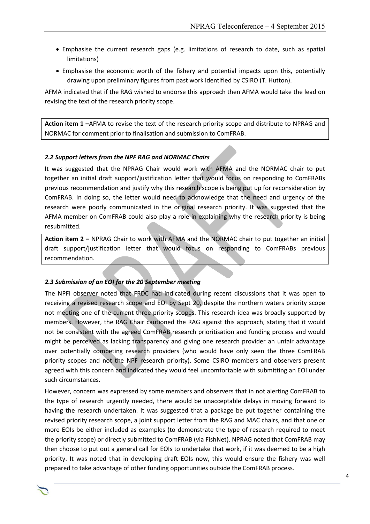- Emphasise the current research gaps (e.g. limitations of research to date, such as spatial limitations)
- Emphasise the economic worth of the fishery and potential impacts upon this, potentially drawing upon preliminary figures from past work identified by CSIRO (T. Hutton).

AFMA indicated that if the RAG wished to endorse this approach then AFMA would take the lead on revising the text of the research priority scope.

**Action item 1 –**AFMA to revise the text of the research priority scope and distribute to NPRAG and NORMAC for comment prior to finalisation and submission to ComFRAB.

#### *2.2 Support letters from the NPF RAG and NORMAC Chairs*

It was suggested that the NPRAG Chair would work with AFMA and the NORMAC chair to put together an initial draft support/justification letter that would focus on responding to ComFRABs previous recommendation and justify why this research scope is being put up for reconsideration by ComFRAB. In doing so, the letter would need to acknowledge that the need and urgency of the research were poorly communicated in the original research priority. It was suggested that the AFMA member on ComFRAB could also play a role in explaining why the research priority is being resubmitted.

**Action item 2 –** NPRAG Chair to work with AFMA and the NORMAC chair to put together an initial draft support/justification letter that would focus on responding to ComFRABs previous recommendation.

#### *2.3 Submission of an EOI for the 20 September meeting*

The NPFI observer noted that FRDC had indicated during recent discussions that it was open to receiving a revised research scope and EOI by Sept 20, despite the northern waters priority scope not meeting one of the current three priority scopes. This research idea was broadly supported by members. However, the RAG Chair cautioned the RAG against this approach, stating that it would not be consistent with the agreed ComFRAB research prioritisation and funding process and would might be perceived as lacking transparency and giving one research provider an unfair advantage over potentially competing research providers (who would have only seen the three ComFRAB priority scopes and not the NPF research priority). Some CSIRO members and observers present agreed with this concern and indicated they would feel uncomfortable with submitting an EOI under such circumstances.

However, concern was expressed by some members and observers that in not alerting ComFRAB to the type of research urgently needed, there would be unacceptable delays in moving forward to having the research undertaken. It was suggested that a package be put together containing the revised priority research scope, a joint support letter from the RAG and MAC chairs, and that one or more EOIs be either included as examples (to demonstrate the type of research required to meet the priority scope) or directly submitted to ComFRAB (via FishNet). NPRAG noted that ComFRAB may then choose to put out a general call for EOIs to undertake that work, if it was deemed to be a high priority. It was noted that in developing draft EOIs now, this would ensure the fishery was well prepared to take advantage of other funding opportunities outside the ComFRAB process.

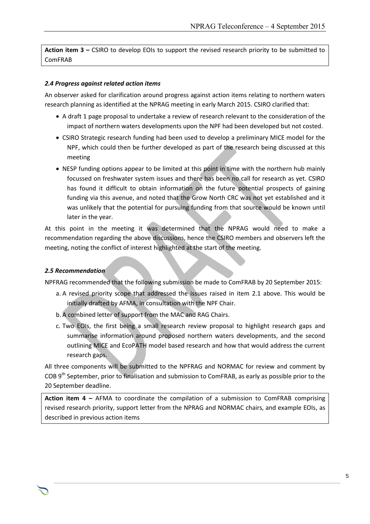**Action item 3 –** CSIRO to develop EOIs to support the revised research priority to be submitted to ComFRAB

#### *2.4 Progress against related action items*

An observer asked for clarification around progress against action items relating to northern waters research planning as identified at the NPRAG meeting in early March 2015. CSIRO clarified that:

- A draft 1 page proposal to undertake a review of research relevant to the consideration of the impact of northern waters developments upon the NPF had been developed but not costed.
- CSIRO Strategic research funding had been used to develop a preliminary MICE model for the NPF, which could then be further developed as part of the research being discussed at this meeting
- NESP funding options appear to be limited at this point in time with the northern hub mainly focussed on freshwater system issues and there has been no call for research as yet. CSIRO has found it difficult to obtain information on the future potential prospects of gaining funding via this avenue, and noted that the Grow North CRC was not yet established and it was unlikely that the potential for pursuing funding from that source would be known until later in the year.

At this point in the meeting it was determined that the NPRAG would need to make a recommendation regarding the above discussions, hence the CSIRO members and observers left the meeting, noting the conflict of interest highlighted at the start of the meeting.

#### *2.5 Recommendation*

NPFRAG recommended that the following submission be made to ComFRAB by 20 September 2015:

- a. A revised priority scope that addressed the issues raised in item 2.1 above. This would be initially drafted by AFMA, in consultation with the NPF Chair.
- b. A combined letter of support from the MAC and RAG Chairs.
- c. Two EOIs, the first being a small research review proposal to highlight research gaps and summarise information around proposed northern waters developments, and the second outlining MICE and EcoPATH model based research and how that would address the current research gaps.

All three components will be submitted to the NPFRAG and NORMAC for review and comment by COB 9<sup>th</sup> September, prior to finalisation and submission to ComFRAB, as early as possible prior to the 20 September deadline.

**Action item 4 –** AFMA to coordinate the compilation of a submission to ComFRAB comprising revised research priority, support letter from the NPRAG and NORMAC chairs, and example EOIs, as described in previous action items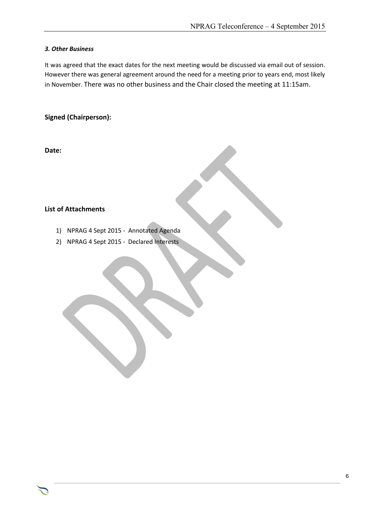#### *3. Other Business*

It was agreed that the exact dates for the next meeting would be discussed via email out of session. However there was general agreement around the need for a meeting prior to years end, most likely in November. There was no other business and the Chair closed the meeting at 11:15am.

Chair Rob Lewis c/- Executive Officer Tony Kingston, 155 Faulkland Rd, Gloucester NSW 2422

## **Signed (Chairperson):**

**Date:**

## **List of Attachments**

- 1) NPRAG 4 Sept 2015 Annotated Agenda
- 2) NPRAG 4 Sept 2015 Declared Interests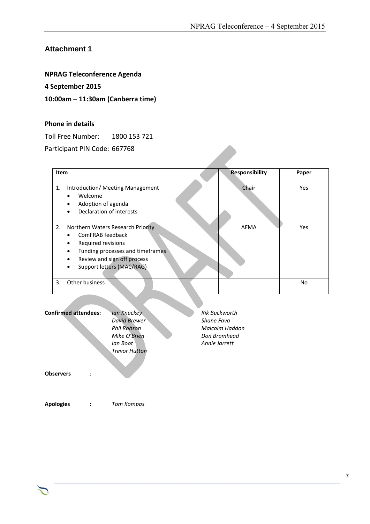## **Attachment 1**

## **NPRAG Teleconference Agenda**

## **4 September 2015**

## **10:00am – 11:30am (Canberra time)**

#### **Phone in details**

Toll Free Number: 1800 153 721

Participant PIN Code: 667768

| articipant PIN Code: 667768                                                                                                                                                       |                       |       |
|-----------------------------------------------------------------------------------------------------------------------------------------------------------------------------------|-----------------------|-------|
| Item                                                                                                                                                                              | <b>Responsibility</b> | Paper |
| Introduction/ Meeting Management<br>1.<br>Welcome<br>Adoption of agenda<br>Declaration of interests                                                                               | Chair                 | Yes   |
| 2.<br>Northern Waters Research Priority<br>ComFRAB feedback<br>Required revisions<br>Funding processes and timeframes<br>Review and sign off process<br>Support letters (MAC/RAG) | <b>AFMA</b>           | Yes   |
| Other business<br>3.                                                                                                                                                              |                       | No    |

| <b>Confirmed attendees:</b> | <b>Ian Knuckey</b><br>David Brewer<br><b>Phil Robson</b><br>Mike O'Brien<br>lan Boot<br><b>Trevor Hutton</b> | <b>Rik Buckworth</b><br>Shane Fava<br>Malcolm Haddon<br>Don Bromhead<br>Annie Jarrett |
|-----------------------------|--------------------------------------------------------------------------------------------------------------|---------------------------------------------------------------------------------------|
| <b>Observers</b>            |                                                                                                              |                                                                                       |
| <b>Apologies</b>            | Tom Kompas                                                                                                   |                                                                                       |

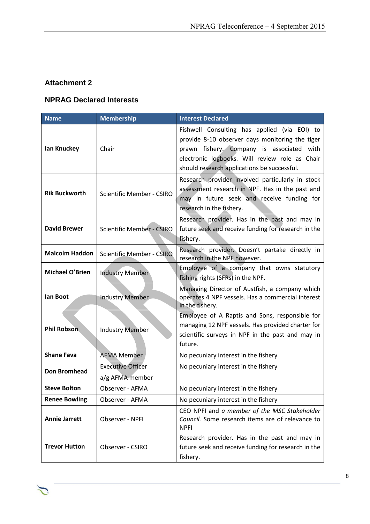## **Attachment 2**

つ

## **NPRAG Declared Interests**

| <b>Name</b>           | <b>Membership</b>                           | <b>Interest Declared</b>                                                                                                                                                                                                                      |
|-----------------------|---------------------------------------------|-----------------------------------------------------------------------------------------------------------------------------------------------------------------------------------------------------------------------------------------------|
| lan Knuckey           | Chair                                       | Fishwell Consulting has applied (via EOI) to<br>provide 8-10 observer days monitoring the tiger<br>prawn fishery. Company is associated with<br>electronic logbooks. Will review role as Chair<br>should research applications be successful. |
| <b>Rik Buckworth</b>  | <b>Scientific Member - CSIRO</b>            | Research provider involved particularly in stock<br>assessment research in NPF. Has in the past and<br>may in future seek and receive funding for<br>research in the fishery.                                                                 |
| <b>David Brewer</b>   | <b>Scientific Member - CSIRO</b>            | Research provider. Has in the past and may in<br>future seek and receive funding for research in the<br>fishery.                                                                                                                              |
| <b>Malcolm Haddon</b> | <b>Scientific Member - CSIRO</b>            | Research provider. Doesn't partake directly in<br>research in the NPF however.                                                                                                                                                                |
| Michael O'Brien       | <b>Industry Member</b>                      | Employee of a company that owns statutory<br>fishing rights (SFRs) in the NPF.                                                                                                                                                                |
| lan Boot              | <b>Industry Member</b>                      | Managing Director of Austfish, a company which<br>operates 4 NPF vessels. Has a commercial interest<br>in the fishery.                                                                                                                        |
| <b>Phil Robson</b>    | <b>Industry Member</b>                      | Employee of A Raptis and Sons, responsible for<br>managing 12 NPF vessels. Has provided charter for<br>scientific surveys in NPF in the past and may in<br>future.                                                                            |
| <b>Shane Fava</b>     | <b>AFMA Member</b>                          | No pecuniary interest in the fishery                                                                                                                                                                                                          |
| <b>Don Bromhead</b>   | <b>Executive Officer</b><br>a/g AFMA member | No pecuniary interest in the fishery                                                                                                                                                                                                          |
| <b>Steve Bolton</b>   | Observer - AFMA                             | No pecuniary interest in the fishery                                                                                                                                                                                                          |
| <b>Renee Bowling</b>  | Observer - AFMA                             | No pecuniary interest in the fishery                                                                                                                                                                                                          |
| <b>Annie Jarrett</b>  | Observer - NPFI                             | CEO NPFI and a member of the MSC Stakeholder<br>Council. Some research items are of relevance to<br><b>NPFI</b>                                                                                                                               |
| <b>Trevor Hutton</b>  | Observer - CSIRO                            | Research provider. Has in the past and may in<br>future seek and receive funding for research in the<br>fishery.                                                                                                                              |